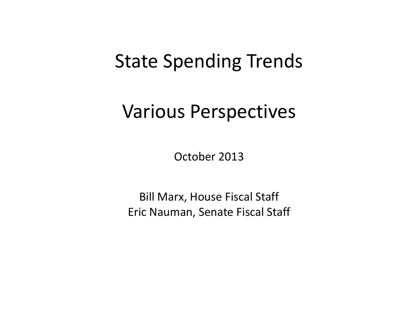## State Spending Trends

## Various Perspectives

October 2013

Bill Marx, House Fiscal Staff Eric Nauman, Senate Fiscal Staff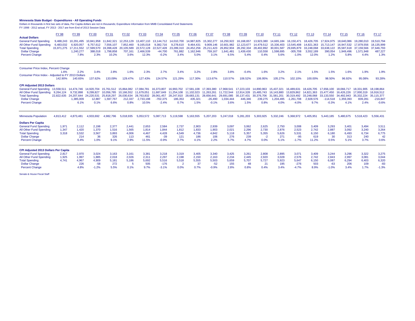**Minnesota State Budget - Expenditures - All Operating Funds**<br>Dollars in thousands in first wo sets of data, Per Capita dollars are not in thousands; Expenditure Information from MMB Consolidated Fund Statements<br>FY 1998 -

| <b>Actual Dollars</b>                                                                                    | <b>FY 98</b>                                                 | FY 99                                 | <b>FY 00</b>                                    | FY 01                                               | <b>FY 02</b>                                      | FY 03                                               | <b>FY 04</b>                                         | FY 05                                                        | <b>FY 06</b>                          | <b>FY 07</b>                                        | <b>FY 08</b>                                                   | <b>FY 09</b>                           | <b>FY 10</b>                                      | FY 11                                               | <b>FY12</b>                                            | FY 13                                                          | <b>FY 14</b>                           | <b>FY 15</b>                                                   | <b>FY 16</b>                           | <b>FY 17</b>                                         |
|----------------------------------------------------------------------------------------------------------|--------------------------------------------------------------|---------------------------------------|-------------------------------------------------|-----------------------------------------------------|---------------------------------------------------|-----------------------------------------------------|------------------------------------------------------|--------------------------------------------------------------|---------------------------------------|-----------------------------------------------------|----------------------------------------------------------------|----------------------------------------|---------------------------------------------------|-----------------------------------------------------|--------------------------------------------------------|----------------------------------------------------------------|----------------------------------------|----------------------------------------------------------------|----------------------------------------|------------------------------------------------------|
| <b>General Fund Spending</b><br>All Other Fund Spending<br><b>Total Spending</b>                         | 9.488.243<br>6.483.032<br>15.971.275                         | 10.291.495<br>6.920.057<br>17.211.552 | 10.841.958<br>6.757.612<br>17,599,570           | 11.842.321<br>7.556.107<br>19.398.428               | 12.253.129<br>7.852.460<br>20.105.589             | 13,407,110<br>9.165.018<br>22.572.128               | 13.144.712<br>9.382.716<br>22,527,428                | 14.010.700<br>9.278.610<br>23.289.310                        | 14.987.825<br>9.464.431<br>24.452.256 | 15.302.277<br>9.909.146<br>25.211.423               | 16.250.922<br>10.601.982<br>26.852.904                         | 16.168.657<br>12.123.677<br>28.292.334 | 13.923.380<br>14.479.512<br>28.402.892            | 14.665.184<br>15.336.403<br>30.001.587              | 16.150.471<br>13.545.408<br>29.695.879                 | 18.426.705<br>14.821.363<br>33.248.068                         | 17.924.975<br>15.713.147<br>33.638.122 | 18.640.086<br>16.947.532<br>35,587,618                         | 19,280,010<br>17.879.556<br>37.159.566 | 19.510.794<br>18.135.999<br>37.646.793               |
| <b>Dollar Change</b><br><b>Percent Change</b>                                                            |                                                              | 1,240,277<br>7.8%                     | 388,018<br>2.3%                                 | 1.798.858<br>10.2%                                  | 707.161<br>3.6%                                   | 2.466.539<br>12.3%                                  | $-44.700$<br>$-0.2%$                                 | 761.882<br>3.4%                                              | .162.946<br>5.0%                      | 759,167<br>3.1%                                     | 1.641.481<br>6.5%                                              | .439.430<br>5.4%                       | 110.558<br>0.4%                                   | 1.598.695<br>5.6%                                   | $-305,708$<br>$-1.0%$                                  | 3.552.189<br>12.0%                                             | 390.054<br>1.2%                        | 1.949.496<br>5.8%                                              | 1.571.948<br>4.4%                      | 487,227<br>1.3%                                      |
| Consumer Price Index, Percent Change                                                                     |                                                              |                                       |                                                 |                                                     |                                                   |                                                     |                                                      |                                                              |                                       |                                                     |                                                                |                                        |                                                   |                                                     |                                                        |                                                                |                                        |                                                                |                                        |                                                      |
| Consumer Price Index - Adiusted to FY 2013 Dollars                                                       | 1.6%<br>142.90%                                              | 2.2%<br>140.65%                       | 3.4%<br>137.62%                                 | 2.8%<br>133.09%                                     | 1.6%<br>129.47%                                   | 2.3%<br>127.43%                                     | 2.7%<br>124.57%                                      | 3.4%<br>121.29%                                              | 3.2%<br>117.30%                       | 2.8%<br>113.67%                                     | 3.8%<br>110.57%                                                | $-0.4%$<br>106.52%                     | 1.6%<br>106.95%                                   | 3.2%<br>105.27%                                     | 2.1%<br>102.10%                                        | 1.5%<br>100.00%                                                | 1.5%<br>98.50%                         | 1.6%<br>96.92%                                                 | 1.9%<br>95.08%                         | 1.9%<br>93.28%                                       |
| <b>CPI Adjusted 2013 Dollars</b>                                                                         |                                                              |                                       |                                                 |                                                     |                                                   |                                                     |                                                      |                                                              |                                       |                                                     |                                                                |                                        |                                                   |                                                     |                                                        |                                                                |                                        |                                                                |                                        |                                                      |
| <b>General Fund Spending</b><br>All Other Fund Spending<br><b>Total Spending</b><br><b>Dollar Change</b> | 13.558.511  14.474.746<br>9.264.124<br>22.822.635 24.207.644 | 9.732.898<br>1,385,009                | 14.920.704<br>9.299.827<br>24.220.531<br>12,887 | 15.761.512<br>10.056.785<br>25.818.297<br>1.597.767 | 15.864.082<br>10.166.552<br>26.030.634<br>212,337 | 17.084.781<br>11.679.051<br>28.763.832<br>2.733.198 | 16.373.807<br>11.687.649<br>28.061.457<br>$-702,375$ | 16.993.702<br>11.254.108<br>28,247,810 28,683,131<br>186,353 | 17.581.108<br>11.102.023<br>435,321   | 17.393.380<br>11.263.261<br>28.656.641<br>$-26,490$ | 17.968.541<br>11.722.544<br>29.691.085 30.137.431<br>1.034.444 | 17.223.103<br>12.914.328<br>446,346    | 14.890.963<br>15.485.743<br>30.376.706<br>239.275 | 15.437.321<br>16.143.880<br>31.581.201<br>1.204.495 | 16.489.631<br>13.829.862<br>30.319.492<br>$-1.261.708$ | 18.426.705<br>14.821.363<br>33.248.068 33.133.550<br>2.928.576 | 17.656.100<br>15.477.450<br>$-114.518$ | 18.066.717<br>16.426.226<br>34,492,943 35,332,224<br>1.359.393 | 18.331.905<br>17,000,319<br>839,281    | 18.198.864<br>16.916.512<br>35,115,377<br>$-216,847$ |
| <b>Percent Change</b>                                                                                    |                                                              | 6.1%                                  | 0.1%                                            | 6.6%                                                | 0.8%                                              | 10.5%                                               | $-2.4%$                                              | 0.7%                                                         | 1.5%                                  | $-0.1%$                                             | 3.6%                                                           | 1.5%                                   | 0.8%                                              | 4.0%                                                | $-4.0%$                                                | 9.7%                                                           | $-0.3%$                                | 4.1%                                                           | 2.4%                                   | $-0.6%$                                              |
|                                                                                                          |                                                              |                                       |                                                 |                                                     |                                                   |                                                     |                                                      |                                                              |                                       |                                                     |                                                                |                                        |                                                   |                                                     |                                                        |                                                                |                                        |                                                                |                                        |                                                      |
| <b>Minnesota Population</b>                                                                              | 4.813.412                                                    | 4.873.481                             | 4.933.692                                       | 4.982.796                                           | 5.018.935                                         | 5.053.572                                           | 5.087.713                                            | 5.119.598                                                    | 5.163.555                             | 5.207.203                                           | 5.247.018                                                      | 5.281.203                              | 5,303,925                                         | 5.332.246                                           | 5.368.972                                              | 5.405.951                                                      | 5.443.185                              | 5.480.675                                                      | 5.518.423                              | 5.556.431                                            |
| <b>Dollars Per Capita</b>                                                                                |                                                              |                                       |                                                 |                                                     |                                                   |                                                     |                                                      |                                                              |                                       |                                                     |                                                                |                                        |                                                   |                                                     |                                                        |                                                                |                                        |                                                                |                                        |                                                      |
| <b>General Fund Spending</b>                                                                             | 1.971                                                        | 2,112                                 | 2,198                                           | 2,377                                               | 2.441                                             | 2.653                                               | 2,584                                                | 2,737                                                        | 2,903                                 | 2,939                                               | 3,097                                                          | 3.062                                  | 2,625                                             | 2,750                                               | 3.008                                                  | 3,409                                                          | 3.293                                  | 3.401                                                          | 3.494                                  | 3,511                                                |
| All Other Fund Spending<br><b>Total Spending</b>                                                         | 1.347<br>3.318                                               | 1.420<br>3,532                        | 1,370<br>3,567                                  | 1.516<br>3,893                                      | 1.565<br>4.006                                    | 1.814<br>4,467                                      | 1.844<br>4,428                                       | 1.812<br>4,549                                               | 1.833<br>4,736                        | 1.903<br>4.842                                      | 2.021<br>5.118                                                 | 2.296<br>5,357                         | 2.730<br>5,355                                    | 2.876<br>5,626                                      | 2.523<br>5,531                                         | 2.742<br>6,150                                                 | 2.887<br>6,180                         | 3.092<br>6,493                                                 | 3.240<br>6,734                         | 3,264<br>6,775                                       |
| <b>Dollar Change</b><br><b>Percent Change</b>                                                            |                                                              | 214<br>6.4%                           | 36<br>1.0%                                      | 326<br>9.1%                                         | 113<br>2.9%                                       | 461<br>11.5%                                        | $-39$<br>$-0.9%$                                     | 121<br>2.7%                                                  | 186<br>4.1%                           | 106<br>2.2%                                         | 276<br>5.7%                                                    | 239<br>4.7%                            | $-2$<br>0.0%                                      | 271<br>5.1%                                         | $-95$<br>$-1.7%$                                       | 619<br>11.2%                                                   | 30<br>0.5%                             | 313<br>5.1%                                                    | 240<br>3.7%                            | 42<br>0.6%                                           |
| <b>CPI Adjusted 2013 Dollars Per Capita</b>                                                              |                                                              |                                       |                                                 |                                                     |                                                   |                                                     |                                                      |                                                              |                                       |                                                     |                                                                |                                        |                                                   |                                                     |                                                        |                                                                |                                        |                                                                |                                        |                                                      |
| <b>General Fund Spending</b>                                                                             | 2.817                                                        | 2,970                                 | 3.024                                           | 3.163                                               | 3.161                                             | 3.381                                               | 3.218                                                | 3.319                                                        | 3.405                                 | 3.340                                               | 3.425                                                          | 3.261                                  | 2.808                                             | 2,895                                               | 3.071                                                  | 3.409                                                          | 3.244                                  | 3.296                                                          | 3.322                                  | 3.275                                                |
| All Other Fund Spending                                                                                  | 1.925                                                        | 1,997                                 | 1,885                                           | 2,018                                               | 2.026                                             | 2,311                                               | 2,297                                                | 2,198                                                        | 2,150                                 | 2,163                                               | 2,234                                                          | 2.445                                  | 2,920                                             | 3,028                                               | 2,576                                                  | 2,742                                                          | 2.843                                  | 2,997                                                          | 3,081                                  | 3,044                                                |
| <b>Total Spending</b><br><b>Dollar Change</b><br><b>Percent Change</b>                                   | 4.741                                                        | 4,967<br>226<br>4.8%                  | 4,909<br>$-58$<br>$-1.2%$                       | 5,181<br>272<br>5.5%                                | 5,186<br>5<br>0.1%                                | 5,692<br>505<br>9.7%                                | 5,516<br>$-176$<br>$-3.1%$                           | 5,518<br>$\overline{2}$<br>0.0%                              | 5,555<br>37<br>0.7%                   | 5,503<br>$-52$<br>$-0.9%$                           | 5,659<br>155<br>2.8%                                           | 5,707<br>48<br>0.8%                    | 5,727<br>21<br>0.4%                               | 5,923<br>195<br>3.4%                                | 5,647<br>$-276$<br>$-4.7%$                             | 6,150<br>503<br>8.9%                                           | 6,087<br>$-63$<br>$-1.0%$              | 6,294<br>206<br>3.4%                                           | 6,403<br>109<br>1.7%                   | 6,320<br>$-83$<br>$-1.3%$                            |

Senate & House Fiscal Staff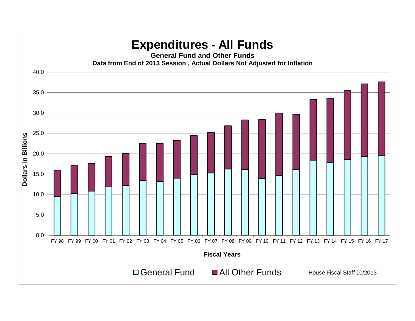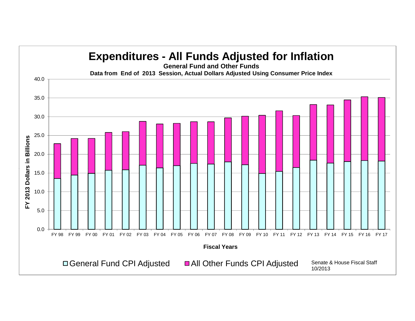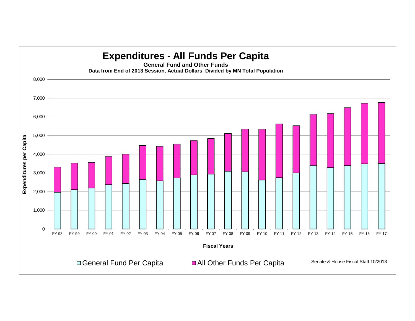